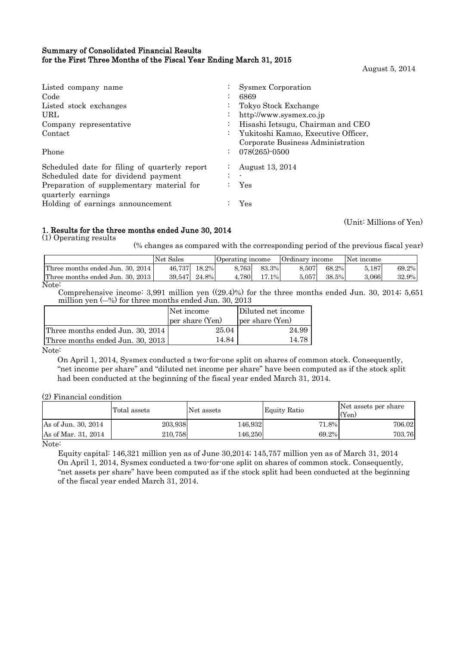## Summary of Consolidated Financial Results for the First Three Months of the Fiscal Year Ending March 31, 2015

August 5, 2014

| Listed company name                           | <b>Sysmex Corporation</b>           |
|-----------------------------------------------|-------------------------------------|
| Code                                          | 6869                                |
| Listed stock exchanges                        | Tokyo Stock Exchange                |
| URL                                           | http://www.sysmex.co.jp             |
| Company representative                        | Hisashi Ietsugu, Chairman and CEO   |
| Contact                                       | Yukitoshi Kamao, Executive Officer, |
|                                               | Corporate Business Administration   |
| Phone                                         | $078(265)$ -0500                    |
| Scheduled date for filing of quarterly report | August 13, 2014                     |
| Scheduled date for dividend payment           |                                     |
| Preparation of supplementary material for     | Yes                                 |
| quarterly earnings                            |                                     |
| Holding of earnings announcement              | Yes                                 |

(Unit: Millions of Yen)

# 1. Results for the three months ended June 30, 2014

(1) Operating results

(% changes as compared with the corresponding period of the previous fiscal year)

|                                  | Net Sales |          | Operating income |       | Ordinary income |       | Net income |       |
|----------------------------------|-----------|----------|------------------|-------|-----------------|-------|------------|-------|
| Three months ended Jun. 30, 2014 | 46.737    | $18.2\%$ | 8.763            | 83.3% | 8.507           | 68.2% | 5.187      | 69.2% |
| Three months ended Jun. 30, 2013 | 39.547    | 24.8%    | 4.780            | 17.1% | 5.057           | 38.5% | 3,066      | 32.9% |
| Note:                            |           |          |                  |       |                 |       |            |       |

Comprehensive income: 3,991 million yen  $((29.4)\%)$  for the three months ended Jun. 30, 2014; 5,651 million yen (―%) for three months ended Jun. 30, 2013

|                                  | Net income      | Diluted net income |
|----------------------------------|-----------------|--------------------|
|                                  | per share (Yen) | per share (Yen)    |
| Three months ended Jun. 30, 2014 | 25.04           | 24.99              |
| Three months ended Jun. 30, 2013 | 14.84           | 14 78              |

Note:

 On April 1, 2014, Sysmex conducted a two-for-one split on shares of common stock. Consequently, "net income per share" and "diluted net income per share" have been computed as if the stock split had been conducted at the beginning of the fiscal year ended March 31, 2014.

(2) Financial condition

|                     | Total assets | Net assets | Equity Ratio | Net assets per share<br>(Yen) |
|---------------------|--------------|------------|--------------|-------------------------------|
| As of Jun. 30, 2014 | 203,938      | 146,932    | 71.8%        | 706.02                        |
| As of Mar. 31, 2014 | 210.758      | 146.250    | 69.2%        | 703.76                        |

Note:

Equity capital: 146,321 million yen as of June 30,2014; 145,757 million yen as of March 31, 2014 On April 1, 2014, Sysmex conducted a two-for-one split on shares of common stock. Consequently, "net assets per share" have been computed as if the stock split had been conducted at the beginning of the fiscal year ended March 31, 2014.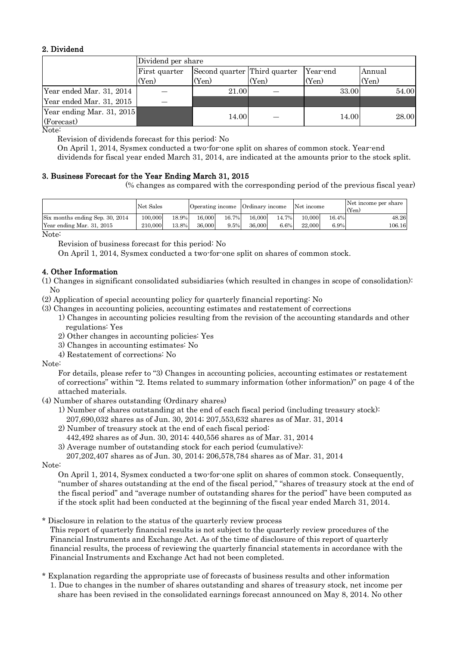# 2. Dividend

|                           | Dividend per share |                              |       |          |        |  |  |
|---------------------------|--------------------|------------------------------|-------|----------|--------|--|--|
|                           | First quarter      | Second quarter Third quarter |       | Year end | Annual |  |  |
|                           | (Yen)              | (Yen)                        | (Yen) | (Yen)    | (Yen)  |  |  |
| Year ended Mar. 31, 2014  |                    | 21.00                        |       | 33.00    | 54.00  |  |  |
| Year ended Mar. 31, 2015  |                    |                              |       |          |        |  |  |
| Year ending Mar. 31, 2015 |                    | 14.00                        |       | 14.00    | 28.00  |  |  |
| (Forecast)                |                    |                              |       |          |        |  |  |

Note:

Revision of dividends forecast for this period: No

On April 1, 2014, Sysmex conducted a two-for-one split on shares of common stock. Year-end dividends for fiscal year ended March 31, 2014, are indicated at the amounts prior to the stock split.

# 3. Business Forecast for the Year Ending March 31, 2015

(% changes as compared with the corresponding period of the previous fiscal year)

| Net Sales |  |                          |        |               |                                                      |               | Net income per share<br>(Yen)  |
|-----------|--|--------------------------|--------|---------------|------------------------------------------------------|---------------|--------------------------------|
| 100.000   |  |                          |        |               | 10.000                                               |               | 48.26                          |
| 210,000   |  |                          |        |               | 22,000                                               |               | 106.16                         |
|           |  | 18.9%<br>13.8%<br>36,000 | 16.000 | 16.7%<br>9.5% | Operating income Ordinary income<br>16.000<br>36,000 | 14.7%<br>6.6% | Net income<br>$16.4\%$<br>6.9% |

Note:

Revision of business forecast for this period: No

On April 1, 2014, Sysmex conducted a two-for-one split on shares of common stock.

# 4. Other Information

(1) Changes in significant consolidated subsidiaries (which resulted in changes in scope of consolidation): No

(2) Application of special accounting policy for quarterly financial reporting: No

- (3) Changes in accounting policies, accounting estimates and restatement of corrections
	- 1) Changes in accounting policies resulting from the revision of the accounting standards and other regulations: Yes
	- 2) Other changes in accounting policies: Yes
	- 3) Changes in accounting estimates: No
	- 4) Restatement of corrections: No

Note:

For details, please refer to "3) Changes in accounting policies, accounting estimates or restatement of corrections" within "2. Items related to summary information (other information)" on page 4 of the attached materials.

- (4) Number of shares outstanding (Ordinary shares)
	- 1) Number of shares outstanding at the end of each fiscal period (including treasury stock): 207,690,032 shares as of Jun. 30, 2014; 207,553,632 shares as of Mar. 31, 2014
	- 2) Number of treasury stock at the end of each fiscal period:
		- 442,492 shares as of Jun. 30, 2014; 440,556 shares as of Mar. 31, 2014
	- 3) Average number of outstanding stock for each period (cumulative):
	- 207,202,407 shares as of Jun. 30, 2014; 206,578,784 shares as of Mar. 31, 2014

Note:

On April 1, 2014, Sysmex conducted a two-for-one split on shares of common stock. Consequently, "number of shares outstanding at the end of the fiscal period," "shares of treasury stock at the end of the fiscal period" and "average number of outstanding shares for the period" have been computed as if the stock split had been conducted at the beginning of the fiscal year ended March 31, 2014.

\* Disclosure in relation to the status of the quarterly review process

This report of quarterly financial results is not subject to the quarterly review procedures of the Financial Instruments and Exchange Act. As of the time of disclosure of this report of quarterly financial results, the process of reviewing the quarterly financial statements in accordance with the Financial Instruments and Exchange Act had not been completed.

\* Explanation regarding the appropriate use of forecasts of business results and other information

1. Due to changes in the number of shares outstanding and shares of treasury stock, net income per share has been revised in the consolidated earnings forecast announced on May 8, 2014. No other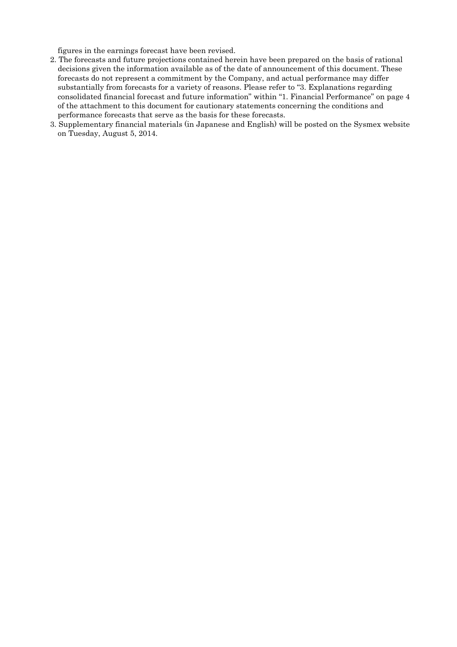figures in the earnings forecast have been revised.

- 2. The forecasts and future projections contained herein have been prepared on the basis of rational decisions given the information available as of the date of announcement of this document. These forecasts do not represent a commitment by the Company, and actual performance may differ substantially from forecasts for a variety of reasons. Please refer to "3. Explanations regarding consolidated financial forecast and future information" within "1. Financial Performance" on page 4 of the attachment to this document for cautionary statements concerning the conditions and performance forecasts that serve as the basis for these forecasts.
- 3. Supplementary financial materials (in Japanese and English) will be posted on the Sysmex website on Tuesday, August 5, 2014.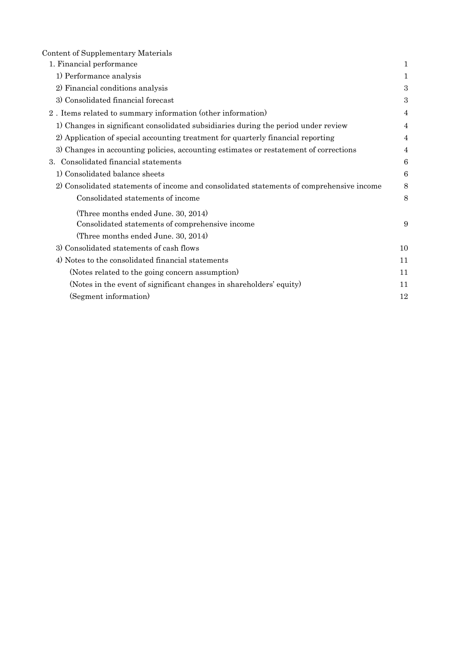Content of Supplementary Materials

| 1. Financial performance                                                                 | 1              |
|------------------------------------------------------------------------------------------|----------------|
| 1) Performance analysis                                                                  | 1              |
| 2) Financial conditions analysis                                                         | 3              |
| 3) Consolidated financial forecast                                                       | 3              |
| 2. Items related to summary information (other information)                              | $\overline{4}$ |
| 1) Changes in significant consolidated subsidiaries during the period under review       | $\overline{4}$ |
| 2) Application of special accounting treatment for quarterly financial reporting         | $\overline{4}$ |
| 3) Changes in accounting policies, accounting estimates or restatement of corrections    | $\overline{4}$ |
| 3. Consolidated financial statements                                                     | 6              |
| 1) Consolidated balance sheets                                                           | 6              |
| 2) Consolidated statements of income and consolidated statements of comprehensive income | 8              |
| Consolidated statements of income                                                        | 8              |
| (Three months ended June. 30, 2014)                                                      |                |
| Consolidated statements of comprehensive income                                          | 9              |
| (Three months ended June. 30, 2014)                                                      |                |
| 3) Consolidated statements of cash flows                                                 | 10             |
| 4) Notes to the consolidated financial statements                                        | 11             |
| (Notes related to the going concern assumption)                                          | 11             |
| (Notes in the event of significant changes in shareholders' equity)                      | 11             |
| (Segment information)                                                                    | 12             |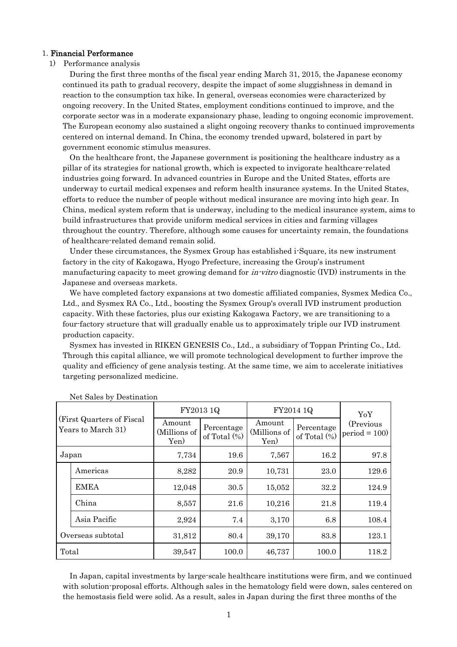### 1. Financial Performance

## 1) Performance analysis

During the first three months of the fiscal year ending March 31, 2015, the Japanese economy continued its path to gradual recovery, despite the impact of some sluggishness in demand in reaction to the consumption tax hike. In general, overseas economies were characterized by ongoing recovery. In the United States, employment conditions continued to improve, and the corporate sector was in a moderate expansionary phase, leading to ongoing economic improvement. The European economy also sustained a slight ongoing recovery thanks to continued improvements centered on internal demand. In China, the economy trended upward, bolstered in part by government economic stimulus measures.

On the healthcare front, the Japanese government is positioning the healthcare industry as a pillar of its strategies for national growth, which is expected to invigorate healthcare-related industries going forward. In advanced countries in Europe and the United States, efforts are underway to curtail medical expenses and reform health insurance systems. In the United States, efforts to reduce the number of people without medical insurance are moving into high gear. In China, medical system reform that is underway, including to the medical insurance system, aims to build infrastructures that provide uniform medical services in cities and farming villages throughout the country. Therefore, although some causes for uncertainty remain, the foundations of healthcare-related demand remain solid.

Under these circumstances, the Sysmex Group has established i-Square, its new instrument factory in the city of Kakogawa, Hyogo Prefecture, increasing the Group's instrument manufacturing capacity to meet growing demand for *in-vitro* diagnostic (IVD) instruments in the Japanese and overseas markets.

We have completed factory expansions at two domestic affiliated companies, Sysmex Medica Co., Ltd., and Sysmex RA Co., Ltd., boosting the Sysmex Group's overall IVD instrument production capacity. With these factories, plus our existing Kakogawa Factory, we are transitioning to a four-factory structure that will gradually enable us to approximately triple our IVD instrument production capacity.

Sysmex has invested in RIKEN GENESIS Co., Ltd., a subsidiary of Toppan Printing Co., Ltd. Through this capital alliance, we will promote technological development to further improve the quality and efficiency of gene analysis testing. At the same time, we aim to accelerate initiatives targeting personalized medicine.

| (First Quarters of Fiscal)<br>Years to March 31) |                   |                                | FY2013 1Q                     | FY2014 1Q                      | YoY                           |                              |
|--------------------------------------------------|-------------------|--------------------------------|-------------------------------|--------------------------------|-------------------------------|------------------------------|
|                                                  |                   | Amount<br>(Millions of<br>Yen) | Percentage<br>of Total $(\%)$ | Amount<br>(Millions of<br>Yen) | Percentage<br>of Total $(\%)$ | (Previous)<br>$period = 100$ |
| Japan                                            |                   | 7,734                          | 19.6                          | 7,567                          | 16.2                          | 97.8                         |
|                                                  | Americas          | 8,282                          | 20.9                          | 10,731                         | 23.0                          | 129.6                        |
|                                                  | <b>EMEA</b>       | 12,048                         | 30.5                          | 15,052                         | 32.2                          | 124.9                        |
|                                                  | China             | 8,557                          | 21.6                          | 10,216                         | 21.8                          | 119.4                        |
|                                                  | Asia Pacific      | 2,924                          | 7.4                           | 3,170                          | 6.8                           | 108.4                        |
|                                                  | Overseas subtotal | 31,812                         | 80.4                          | 39,170                         | 83.8                          | 123.1                        |
| Total                                            |                   | 39,547                         | 100.0                         | 46,737                         | 100.0                         | 118.2                        |

Net Sales by Destination

In Japan, capital investments by large-scale healthcare institutions were firm, and we continued with solution-proposal efforts. Although sales in the hematology field were down, sales centered on the hemostasis field were solid. As a result, sales in Japan during the first three months of the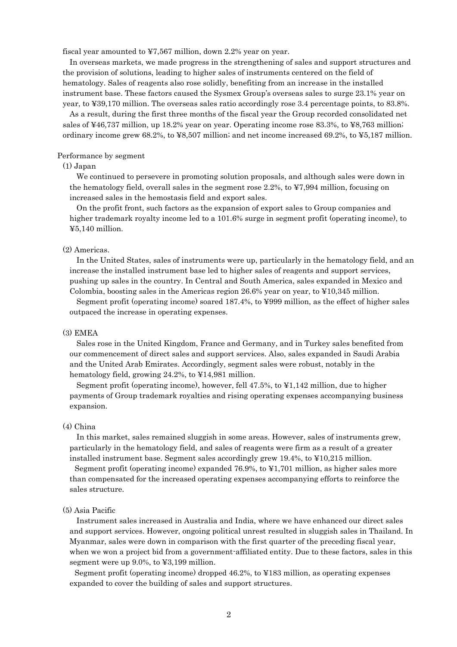fiscal year amounted to ¥7,567 million, down 2.2% year on year.

In overseas markets, we made progress in the strengthening of sales and support structures and the provision of solutions, leading to higher sales of instruments centered on the field of hematology. Sales of reagents also rose solidly, benefiting from an increase in the installed instrument base. These factors caused the Sysmex Group's overseas sales to surge 23.1% year on year, to ¥39,170 million. The overseas sales ratio accordingly rose 3.4 percentage points, to 83.8%.

As a result, during the first three months of the fiscal year the Group recorded consolidated net sales of ¥46,737 million, up 18.2% year on year. Operating income rose 83.3%, to ¥8,763 million; ordinary income grew 68.2%, to ¥8,507 million; and net income increased 69.2%, to ¥5,187 million.

## Performance by segment

## (1) Japan

We continued to persevere in promoting solution proposals, and although sales were down in the hematology field, overall sales in the segment rose 2.2%, to ¥7,994 million, focusing on increased sales in the hemostasis field and export sales.

On the profit front, such factors as the expansion of export sales to Group companies and higher trademark royalty income led to a 101.6% surge in segment profit (operating income), to ¥5,140 million.

## (2) Americas.

In the United States, sales of instruments were up, particularly in the hematology field, and an increase the installed instrument base led to higher sales of reagents and support services, pushing up sales in the country. In Central and South America, sales expanded in Mexico and Colombia, boosting sales in the Americas region 26.6% year on year, to ¥10,345 million.

Segment profit (operating income) soared 187.4%, to ¥999 million, as the effect of higher sales outpaced the increase in operating expenses.

### (3) EMEA

Sales rose in the United Kingdom, France and Germany, and in Turkey sales benefited from our commencement of direct sales and support services. Also, sales expanded in Saudi Arabia and the United Arab Emirates. Accordingly, segment sales were robust, notably in the hematology field, growing 24.2%, to ¥14,981 million.

Segment profit (operating income), however, fell  $47.5\%$ , to  $\frac{1}{4}1.142$  million, due to higher payments of Group trademark royalties and rising operating expenses accompanying business expansion.

#### (4) China

In this market, sales remained sluggish in some areas. However, sales of instruments grew, particularly in the hematology field, and sales of reagents were firm as a result of a greater installed instrument base. Segment sales accordingly grew 19.4%, to ¥10,215 million.

Segment profit (operating income) expanded 76.9%, to ¥1,701 million, as higher sales more than compensated for the increased operating expenses accompanying efforts to reinforce the sales structure.

## (5) Asia Pacific

Instrument sales increased in Australia and India, where we have enhanced our direct sales and support services. However, ongoing political unrest resulted in sluggish sales in Thailand. In Myanmar, sales were down in comparison with the first quarter of the preceding fiscal year, when we won a project bid from a government-affiliated entity. Due to these factors, sales in this segment were up 9.0%, to ¥3,199 million.

Segment profit (operating income) dropped 46.2%, to ¥183 million, as operating expenses expanded to cover the building of sales and support structures.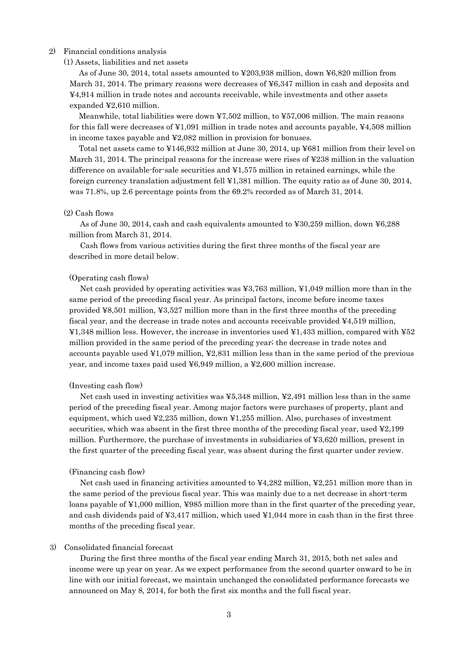#### 2) Financial conditions analysis

#### (1) Assets, liabilities and net assets

As of June 30, 2014, total assets amounted to ¥203,938 million, down ¥6,820 million from March 31, 2014. The primary reasons were decreases of ¥6,347 million in cash and deposits and ¥4,914 million in trade notes and accounts receivable, while investments and other assets expanded ¥2,610 million.

Meanwhile, total liabilities were down  $\frac{1}{2}7,502$  million, to  $\frac{1}{2}57,006$  million. The main reasons for this fall were decreases of ¥1,091 million in trade notes and accounts payable, ¥4,508 million in income taxes payable and ¥2,082 million in provision for bonuses.

Total net assets came to ¥146,932 million at June 30, 2014, up ¥681 million from their level on March 31, 2014. The principal reasons for the increase were rises of ¥238 million in the valuation difference on available-for-sale securities and ¥1,575 million in retained earnings, while the foreign currency translation adjustment fell ¥1,381 million. The equity ratio as of June 30, 2014, was 71.8%, up 2.6 percentage points from the 69.2% recorded as of March 31, 2014.

#### (2) Cash flows

As of June 30, 2014, cash and cash equivalents amounted to ¥30,259 million, down ¥6,288 million from March 31, 2014.

Cash flows from various activities during the first three months of the fiscal year are described in more detail below.

#### (Operating cash flows)

Net cash provided by operating activities was ¥3,763 million, ¥1,049 million more than in the same period of the preceding fiscal year. As principal factors, income before income taxes provided ¥8,501 million, ¥3,527 million more than in the first three months of the preceding fiscal year, and the decrease in trade notes and accounts receivable provided ¥4,519 million,  $\text{\textsterling}1,348$  million less. However, the increase in inventories used  $\text{\textsterling}1,433$  million, compared with  $\text{\textsterling}52$ million provided in the same period of the preceding year; the decrease in trade notes and accounts payable used  $\text{\textsterling}1,079$  million,  $\text{\textsterling}2,831$  million less than in the same period of the previous year, and income taxes paid used ¥6,949 million, a ¥2,600 million increase.

#### (Investing cash flow)

Net cash used in investing activities was ¥5,348 million, ¥2,491 million less than in the same period of the preceding fiscal year. Among major factors were purchases of property, plant and equipment, which used  $\frac{1}{2}$ ,235 million, down  $\frac{1}{2}$ ,255 million. Also, purchases of investment securities, which was absent in the first three months of the preceding fiscal year, used ¥2,199 million. Furthermore, the purchase of investments in subsidiaries of ¥3,620 million, present in the first quarter of the preceding fiscal year, was absent during the first quarter under review.

#### (Financing cash flow)

Net cash used in financing activities amounted to ¥4,282 million, ¥2,251 million more than in the same period of the previous fiscal year. This was mainly due to a net decrease in short-term loans payable of ¥1,000 million, ¥985 million more than in the first quarter of the preceding year, and cash dividends paid of  $\text{\textsterling}3,417$  million, which used  $\text{\textsterling}1,044$  more in cash than in the first three months of the preceding fiscal year.

#### 3) Consolidated financial forecast

During the first three months of the fiscal year ending March 31, 2015, both net sales and income were up year on year. As we expect performance from the second quarter onward to be in line with our initial forecast, we maintain unchanged the consolidated performance forecasts we announced on May 8, 2014, for both the first six months and the full fiscal year.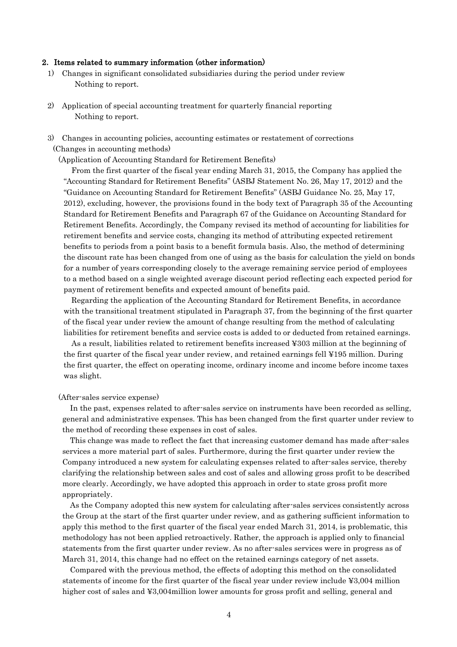#### 2. Items related to summary information (other information)

- 1) Changes in significant consolidated subsidiaries during the period under review Nothing to report.
- 2) Application of special accounting treatment for quarterly financial reporting Nothing to report.
- 3) Changes in accounting policies, accounting estimates or restatement of corrections (Changes in accounting methods)

(Application of Accounting Standard for Retirement Benefits)

From the first quarter of the fiscal year ending March 31, 2015, the Company has applied the "Accounting Standard for Retirement Benefits" (ASBJ Statement No. 26, May 17, 2012) and the "Guidance on Accounting Standard for Retirement Benefits" (ASBJ Guidance No. 25, May 17, 2012), excluding, however, the provisions found in the body text of Paragraph 35 of the Accounting Standard for Retirement Benefits and Paragraph 67 of the Guidance on Accounting Standard for Retirement Benefits. Accordingly, the Company revised its method of accounting for liabilities for retirement benefits and service costs, changing its method of attributing expected retirement benefits to periods from a point basis to a benefit formula basis. Also, the method of determining the discount rate has been changed from one of using as the basis for calculation the yield on bonds for a number of years corresponding closely to the average remaining service period of employees to a method based on a single weighted average discount period reflecting each expected period for payment of retirement benefits and expected amount of benefits paid.

Regarding the application of the Accounting Standard for Retirement Benefits, in accordance with the transitional treatment stipulated in Paragraph 37, from the beginning of the first quarter of the fiscal year under review the amount of change resulting from the method of calculating liabilities for retirement benefits and service costs is added to or deducted from retained earnings.

As a result, liabilities related to retirement benefits increased ¥303 million at the beginning of the first quarter of the fiscal year under review, and retained earnings fell ¥195 million. During the first quarter, the effect on operating income, ordinary income and income before income taxes was slight.

#### (After-sales service expense)

In the past, expenses related to after-sales service on instruments have been recorded as selling, general and administrative expenses. This has been changed from the first quarter under review to the method of recording these expenses in cost of sales.

This change was made to reflect the fact that increasing customer demand has made after-sales services a more material part of sales. Furthermore, during the first quarter under review the Company introduced a new system for calculating expenses related to after-sales service, thereby clarifying the relationship between sales and cost of sales and allowing gross profit to be described more clearly. Accordingly, we have adopted this approach in order to state gross profit more appropriately.

As the Company adopted this new system for calculating after-sales services consistently across the Group at the start of the first quarter under review, and as gathering sufficient information to apply this method to the first quarter of the fiscal year ended March 31, 2014, is problematic, this methodology has not been applied retroactively. Rather, the approach is applied only to financial statements from the first quarter under review. As no after-sales services were in progress as of March 31, 2014, this change had no effect on the retained earnings category of net assets.

Compared with the previous method, the effects of adopting this method on the consolidated statements of income for the first quarter of the fiscal year under review include ¥3,004 million higher cost of sales and ¥3,004million lower amounts for gross profit and selling, general and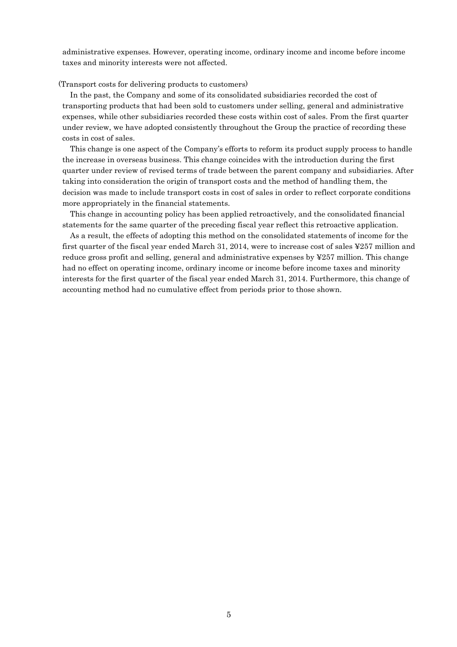administrative expenses. However, operating income, ordinary income and income before income taxes and minority interests were not affected.

#### (Transport costs for delivering products to customers)

In the past, the Company and some of its consolidated subsidiaries recorded the cost of transporting products that had been sold to customers under selling, general and administrative expenses, while other subsidiaries recorded these costs within cost of sales. From the first quarter under review, we have adopted consistently throughout the Group the practice of recording these costs in cost of sales.

This change is one aspect of the Company's efforts to reform its product supply process to handle the increase in overseas business. This change coincides with the introduction during the first quarter under review of revised terms of trade between the parent company and subsidiaries. After taking into consideration the origin of transport costs and the method of handling them, the decision was made to include transport costs in cost of sales in order to reflect corporate conditions more appropriately in the financial statements.

This change in accounting policy has been applied retroactively, and the consolidated financial statements for the same quarter of the preceding fiscal year reflect this retroactive application.

As a result, the effects of adopting this method on the consolidated statements of income for the first quarter of the fiscal year ended March 31, 2014, were to increase cost of sales ¥257 million and reduce gross profit and selling, general and administrative expenses by ¥257 million. This change had no effect on operating income, ordinary income or income before income taxes and minority interests for the first quarter of the fiscal year ended March 31, 2014. Furthermore, this change of accounting method had no cumulative effect from periods prior to those shown.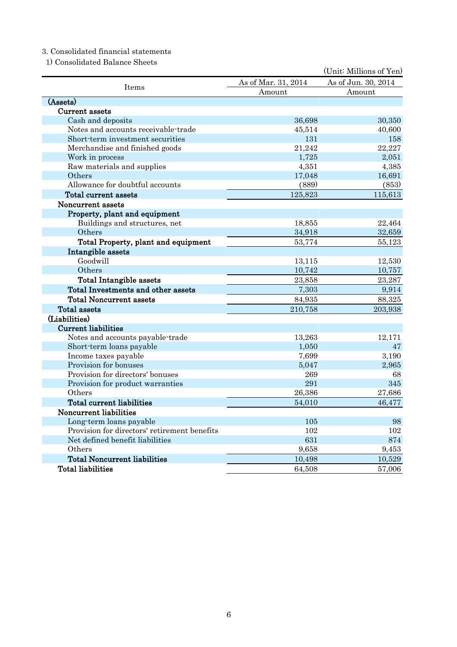# 3. Consolidated financial statements

1) Consolidated Balance Sheets

|                                              |                     | (Unit: Millions of Yen) |
|----------------------------------------------|---------------------|-------------------------|
|                                              | As of Mar. 31, 2014 | As of Jun. 30, 2014     |
| Items                                        | Amount              | Amount                  |
| (Assets)                                     |                     |                         |
| Current assets                               |                     |                         |
| Cash and deposits                            | 36,698              | 30,350                  |
| Notes and accounts receivable-trade          | 45,514              | 40,600                  |
| Short-term investment securities             | 131                 | 158                     |
| Merchandise and finished goods               | 21,242              | 22,227                  |
| Work in process                              | 1,725               | 2,051                   |
| Raw materials and supplies                   | 4,351               | 4,385                   |
| Others                                       | 17,048              | 16,691                  |
| Allowance for doubtful accounts              | (889)               | (853)                   |
| <b>Total current assets</b>                  | 125,823             | 115,613                 |
| Noncurrent assets                            |                     |                         |
| Property, plant and equipment                |                     |                         |
| Buildings and structures, net                | 18,855              | 22,464                  |
| Others                                       | 34,918              | 32,659                  |
| Total Property, plant and equipment          | 53,774              | 55,123                  |
| Intangible assets                            |                     |                         |
| Goodwill                                     | 13,115              | 12,530                  |
| Others                                       | 10,742              | 10,757                  |
| <b>Total Intangible assets</b>               | 23,858              | 23,287                  |
| Total Investments and other assets           | 7,303               | 9,914                   |
| <b>Total Noncurrent assets</b>               | 84,935              | 88,325                  |
| <b>Total assets</b>                          | 210,758             | 203,938                 |
| (Liabilities)                                |                     |                         |
| <b>Current liabilities</b>                   |                     |                         |
| Notes and accounts payable-trade             | 13,263              | 12,171                  |
| Short-term loans payable                     | 1,050               | 47                      |
| Income taxes payable                         | 7,699               | 3,190                   |
| Provision for bonuses                        | 5,047               | 2,965                   |
| Provision for directors' bonuses             | 269                 | 68                      |
| Provision for product warranties             | 291                 | 345                     |
| Others                                       | 26,386              | 27,686                  |
| Total current liabilities                    | 54,010              | 46,477                  |
| Noncurrent liabilities                       |                     |                         |
| Long-term loans payable                      | 105                 | 98                      |
| Provision for directors' retirement benefits | 102                 | 102                     |
| Net defined benefit liabilities              | 631                 | 874                     |
| Others                                       | 9,658               | 9,453                   |
| <b>Total Noncurrent liabilities</b>          | 10,498              | 10,529                  |
| <b>Total liabilities</b>                     | 64,508              | 57,006                  |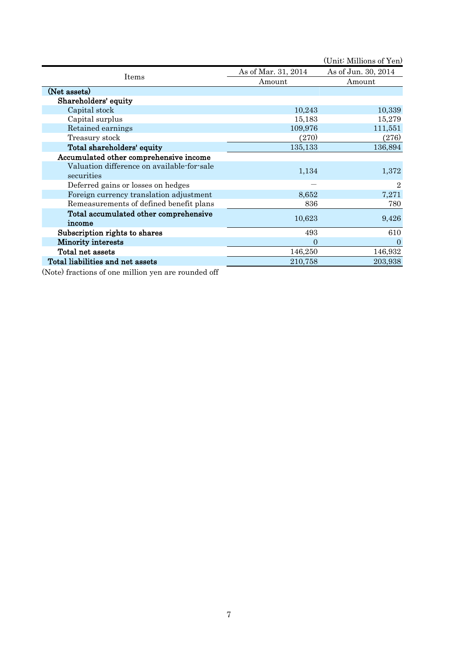|                                            |                     | (Unit: Millions of Yen) |
|--------------------------------------------|---------------------|-------------------------|
|                                            | As of Mar. 31, 2014 | As of Jun. 30, 2014     |
| Items                                      | Amount              | Amount                  |
| (Net assets)                               |                     |                         |
| Shareholders' equity                       |                     |                         |
| Capital stock                              | 10,243              | 10,339                  |
| Capital surplus                            | 15,183              | 15,279                  |
| Retained earnings                          | 109,976             | 111,551                 |
| Treasury stock                             | (270)               | (276)                   |
| Total shareholders' equity                 | 135,133             | 136,894                 |
| Accumulated other comprehensive income     |                     |                         |
| Valuation difference on available-for-sale | 1,134               | 1,372                   |
| securities                                 |                     |                         |
| Deferred gains or losses on hedges         |                     | $\overline{2}$          |
| Foreign currency translation adjustment    | 8,652               | 7,271                   |
| Remeasurements of defined benefit plans    | 836                 | 780                     |
| Total accumulated other comprehensive      | 10,623              | 9,426                   |
| income                                     |                     |                         |
| Subscription rights to shares              | 493                 | 610                     |
| <b>Minority interests</b>                  | $\overline{0}$      | $\Omega$                |
| Total net assets                           | 146,250             | 146,932                 |
| Total liabilities and net assets           | 210,758             | 203,938                 |
|                                            |                     |                         |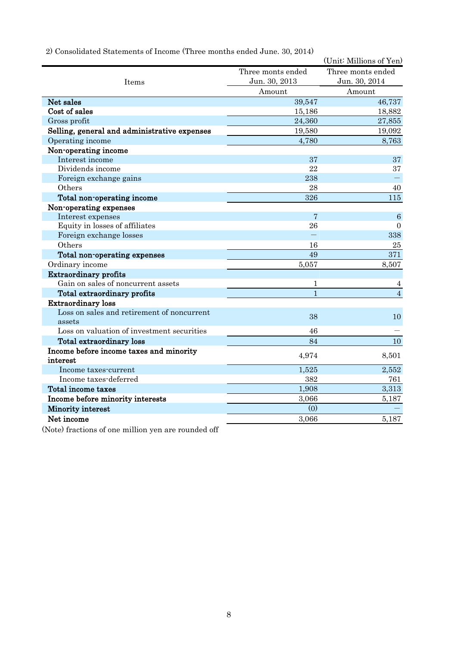|  | 2) Consolidated Statements of Income (Three months ended June. 30, 2014) |  |  |  |  |  |  |  |
|--|--------------------------------------------------------------------------|--|--|--|--|--|--|--|
|--|--------------------------------------------------------------------------|--|--|--|--|--|--|--|

| Consolidated Statements of Hicome (Three months ended June, 30, 2014) |                   | (Unit: Millions of Yen) |
|-----------------------------------------------------------------------|-------------------|-------------------------|
|                                                                       | Three monts ended | Three monts ended       |
| Items                                                                 | Jun. 30, 2013     | Jun. 30, 2014           |
|                                                                       | Amount            | Amount                  |
| Net sales                                                             | 39,547            | 46,737                  |
| Cost of sales                                                         | 15,186            | 18,882                  |
| Gross profit                                                          | 24,360            | 27,855                  |
| Selling, general and administrative expenses                          | 19,580            | 19,092                  |
| Operating income                                                      | 4,780             | 8,763                   |
| Non-operating income                                                  |                   |                         |
| Interest income                                                       | 37                | 37                      |
| Dividends income                                                      | 22                | 37                      |
| Foreign exchange gains                                                | 238               |                         |
| Others                                                                | 28                | 40                      |
| Total non-operating income                                            | 326               | 115                     |
| Non-operating expenses                                                |                   |                         |
| Interest expenses                                                     | $\overline{7}$    | $\,6\,$                 |
| Equity in losses of affiliates                                        | 26                | $\Omega$                |
| Foreign exchange losses                                               | $\equiv$          | 338                     |
| Others                                                                | 16                | 25                      |
| Total non-operating expenses                                          | 49                | 371                     |
| Ordinary income                                                       | 5,057             | 8,507                   |
| <b>Extraordinary profits</b>                                          |                   |                         |
| Gain on sales of noncurrent assets                                    | $\mathbf 1$       | 4                       |
| Total extraordinary profits                                           | $\mathbf{1}$      | $\overline{4}$          |
| <b>Extraordinary loss</b>                                             |                   |                         |
| Loss on sales and retirement of noncurrent                            | 38                |                         |
| assets                                                                |                   | 10                      |
| Loss on valuation of investment securities                            | 46                |                         |
| Total extraordinary loss                                              | 84                | 10                      |
| Income before income taxes and minority<br>interest                   | 4,974             | 8,501                   |
| Income taxes-current                                                  | 1,525             | 2,552                   |
| Income taxes-deferred                                                 | 382               | 761                     |
| Total income taxes                                                    | 1,908             | 3,313                   |
| Income before minority interests                                      | 3,066             | 5,187                   |
| Minority interest                                                     | (0)               |                         |
| Net income                                                            | 3,066             | 5,187                   |
|                                                                       |                   |                         |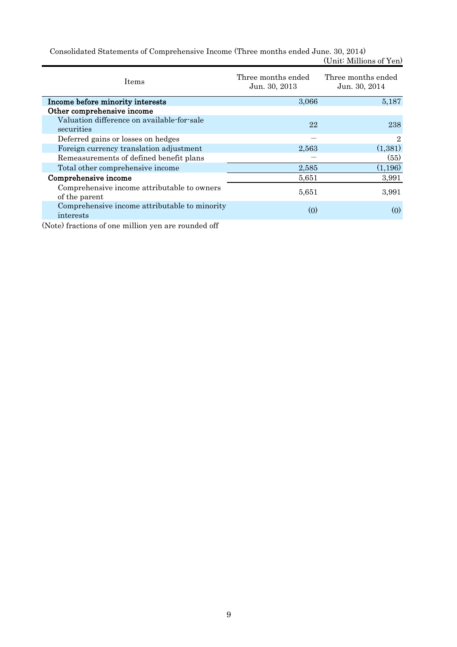Consolidated Statements of Comprehensive Income (Three months ended June. 30, 2014) (Unit: Millions of Yen)

| <b>Items</b>                                                 | Three months ended<br>Jun. 30, 2013 | Three months ended<br>Jun. 30, 2014 |  |
|--------------------------------------------------------------|-------------------------------------|-------------------------------------|--|
| Income before minority interests                             | 3,066                               | 5,187                               |  |
| Other comprehensive income                                   |                                     |                                     |  |
| Valuation difference on available-for-sale<br>securities     | 22                                  | 238                                 |  |
| Deferred gains or losses on hedges                           |                                     | $\overline{2}$                      |  |
| Foreign currency translation adjustment                      | 2,563                               | (1,381)                             |  |
| Remeasurements of defined benefit plans                      |                                     | (55)                                |  |
| Total other comprehensive income                             | 2,585                               | (1,196)                             |  |
| Comprehensive income                                         | 5,651                               | 3,991                               |  |
| Comprehensive income attributable to owners<br>of the parent | 5.651                               | 3,991                               |  |
| Comprehensive income attributable to minority<br>interests   | (0)                                 | (0)                                 |  |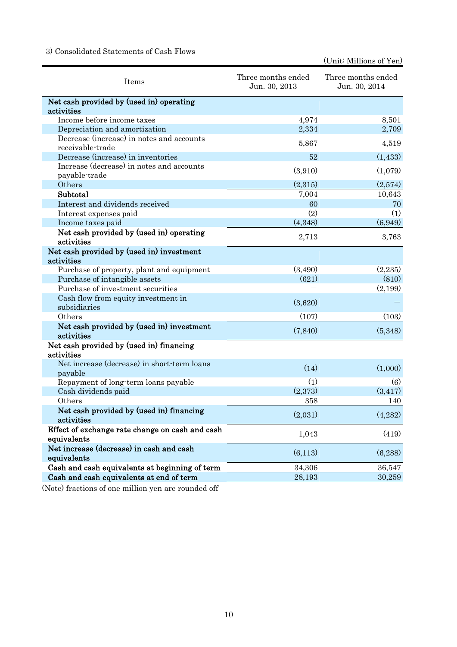# 3) Consolidated Statements of Cash Flows

(Unit: Millions of Yen)

| Items                                                          | Three months ended<br>Jun. 30, 2013 | Three months ended<br>Jun. 30, 2014 |  |
|----------------------------------------------------------------|-------------------------------------|-------------------------------------|--|
| Net cash provided by (used in) operating                       |                                     |                                     |  |
| activities                                                     |                                     |                                     |  |
| Income before income taxes                                     | 4,974                               | 8,501                               |  |
| Depreciation and amortization                                  | 2,334                               | 2,709                               |  |
| Decrease (increase) in notes and accounts<br>receivable-trade  | 5,867                               | 4,519                               |  |
| Decrease (increase) in inventories                             | 52                                  | (1,433)                             |  |
| Increase (decrease) in notes and accounts<br>payable-trade     | (3,910)                             | (1,079)                             |  |
| Others                                                         | (2,315)                             | (2,574)                             |  |
| Subtotal                                                       | 7,004                               | 10,643                              |  |
| Interest and dividends received                                | 60                                  | 70                                  |  |
| Interest expenses paid                                         | (2)                                 | (1)                                 |  |
| Income taxes paid                                              | (4,348)                             | (6,949)                             |  |
| Net cash provided by (used in) operating<br>activities         | 2,713                               | 3,763                               |  |
| Net cash provided by (used in) investment                      |                                     |                                     |  |
| activities                                                     |                                     |                                     |  |
| Purchase of property, plant and equipment                      | (3,490)                             | (2,235)                             |  |
| Purchase of intangible assets                                  | (621)                               | (810)                               |  |
| Purchase of investment securities                              |                                     | (2,199)                             |  |
| Cash flow from equity investment in<br>subsidiaries            | (3,620)                             |                                     |  |
| Others                                                         | (107)                               | (103)                               |  |
| Net cash provided by (used in) investment<br>activities        | (7, 840)                            | (5,348)                             |  |
| Net cash provided by (used in) financing                       |                                     |                                     |  |
| activities                                                     |                                     |                                     |  |
| Net increase (decrease) in short-term loans<br>payable         | (14)                                | (1,000)                             |  |
| Repayment of long-term loans payable                           | (1)                                 | (6)                                 |  |
| Cash dividends paid                                            | (2,373)                             | (3, 417)                            |  |
| Others                                                         | 358                                 | 140                                 |  |
| Net cash provided by (used in) financing<br>activities         | (2,031)                             | (4,282)                             |  |
| Effect of exchange rate change on cash and cash<br>equivalents | 1,043                               | (419)                               |  |
| Net increase (decrease) in cash and cash<br>equivalents        | (6,113)                             | (6,288)                             |  |
| Cash and cash equivalents at beginning of term                 | 34,306                              | 36,547                              |  |
| Cash and cash equivalents at end of term                       | 28,193                              | 30,259                              |  |
|                                                                |                                     |                                     |  |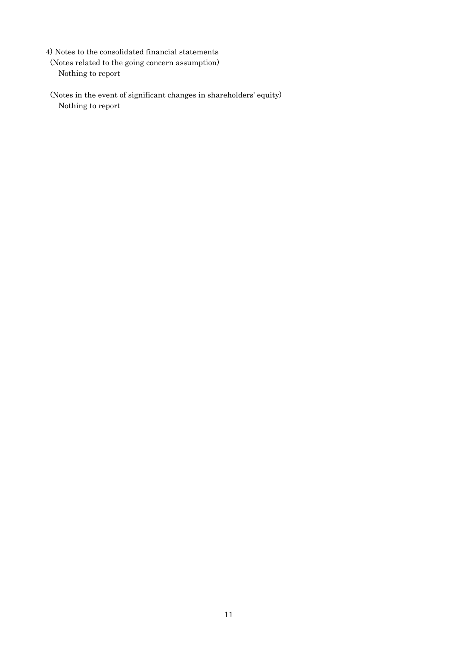4) Notes to the consolidated financial statements

- (Notes related to the going concern assumption) Nothing to report
- (Notes in the event of significant changes in shareholders' equity) Nothing to report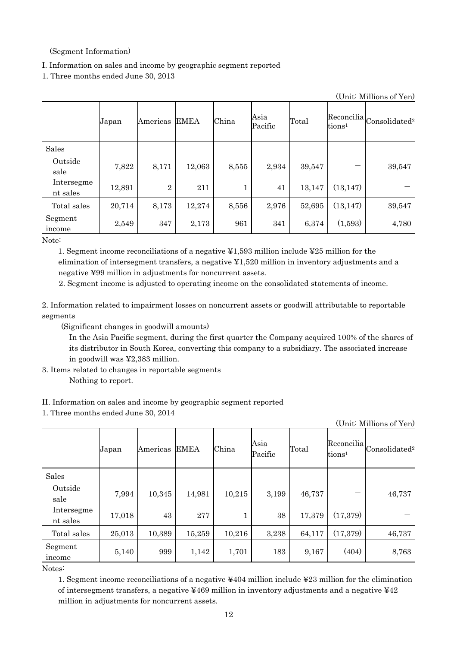(Segment Information)

I. Information on sales and income by geographic segment reported

1. Three months ended June 30, 2013

| (Unit: Millions of Yen) |        |                |             |       |                 |        |                    |                                                                                                      |
|-------------------------|--------|----------------|-------------|-------|-----------------|--------|--------------------|------------------------------------------------------------------------------------------------------|
|                         | Japan  | Americas       | <b>EMEA</b> | China | Asia<br>Pacific | Total  | tions <sup>1</sup> | $\begin{array}{c c} \textbf{Reconcilia} & \textbf{Consolidated}^{\textcolor{red}{2}} \\ \end{array}$ |
| Sales                   |        |                |             |       |                 |        |                    |                                                                                                      |
| Outside<br>sale         | 7,822  | 8,171          | 12,063      | 8,555 | 2,934           | 39,547 |                    | 39,547                                                                                               |
| Intersegme<br>nt sales  | 12,891 | $\overline{2}$ | 211         | T.    | 41              | 13,147 | (13, 147)          |                                                                                                      |
| Total sales             | 20,714 | 8,173          | 12,274      | 8,556 | 2,976           | 52,695 | (13, 147)          | 39,547                                                                                               |
| Segment<br>income       | 2,549  | 347            | 2,173       | 961   | 341             | 6,374  | (1,593)            | 4,780                                                                                                |

Note:

1. Segment income reconciliations of a negative ¥1,593 million include ¥25 million for the elimination of intersegment transfers, a negative ¥1,520 million in inventory adjustments and a negative ¥99 million in adjustments for noncurrent assets.

2. Segment income is adjusted to operating income on the consolidated statements of income.

2. Information related to impairment losses on noncurrent assets or goodwill attributable to reportable segments

(Significant changes in goodwill amounts)

In the Asia Pacific segment, during the first quarter the Company acquired 100% of the shares of its distributor in South Korea, converting this company to a subsidiary. The associated increase in goodwill was ¥2,383 million.

3. Items related to changes in reportable segments

Nothing to report.

- II. Information on sales and income by geographic segment reported
- 1. Three months ended June 30, 2014

(Unit: Millions of Yen)

|                        | Japan  | Americas | <b>EMEA</b> | China  | Asia<br>Pacific | Total  | Reconcilia<br>tions <sup>1</sup> | Consolidated <sup>2</sup> |
|------------------------|--------|----------|-------------|--------|-----------------|--------|----------------------------------|---------------------------|
| Sales                  |        |          |             |        |                 |        |                                  |                           |
| Outside<br>sale        | 7,994  | 10,345   | 14,981      | 10,215 | 3,199           | 46,737 |                                  | 46,737                    |
| Intersegme<br>nt sales | 17,018 | 43       | 277         | T      | 38              | 17,379 | (17,379)                         |                           |
| Total sales            | 25,013 | 10,389   | 15,259      | 10,216 | 3,238           | 64,117 | (17, 379)                        | 46,737                    |
| Segment<br>income      | 5,140  | 999      | 1,142       | 1,701  | 183             | 9,167  | (404)                            | 8,763                     |

Notes:

1. Segment income reconciliations of a negative ¥404 million include ¥23 million for the elimination of intersegment transfers, a negative  $\text{\#469}$  million in inventory adjustments and a negative  $\text{\#42}$ million in adjustments for noncurrent assets.